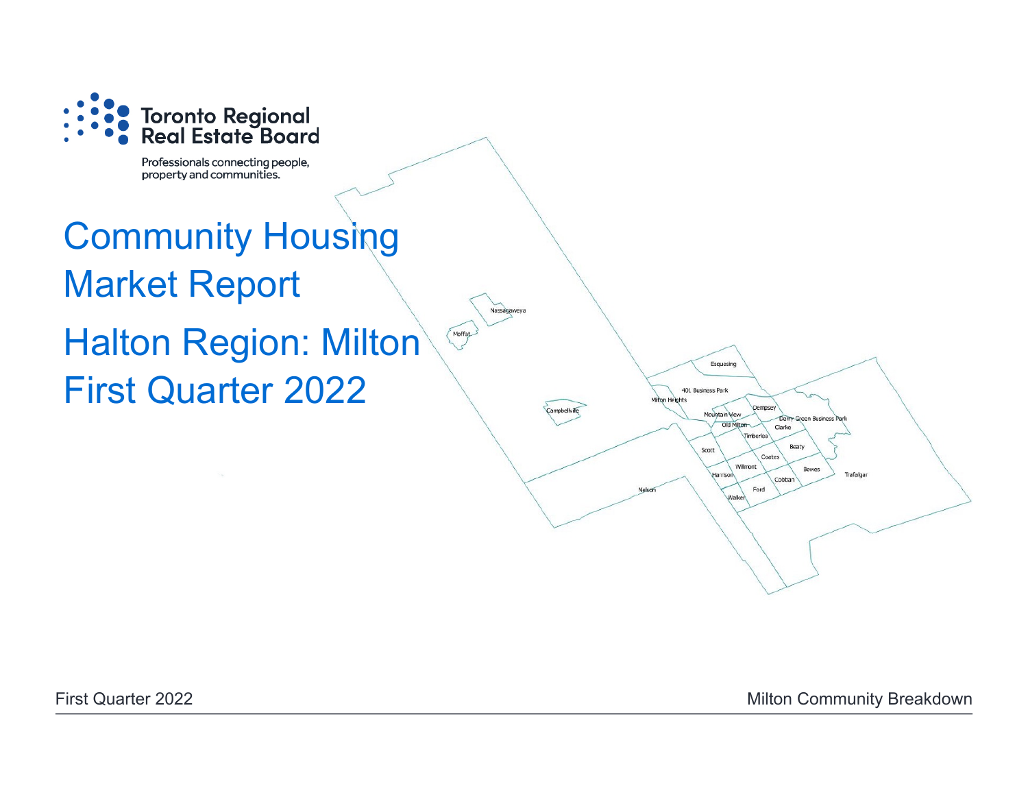

Professionals connecting people, property and communities.

# Community Housing Market Report Morrat Halton Region: Milton First Quarter 2022

First Quarter 2022 **Milton Community Breakdown** 

Esquesing

Mountain View Old Milton

Harrisor

**Dempsey** 

Coates Willmont

**Imheries** 

Clarke

Cobba Ford Walke

Beaty

Bowes

Trafalgar

401 Business Park

Scott

n Heights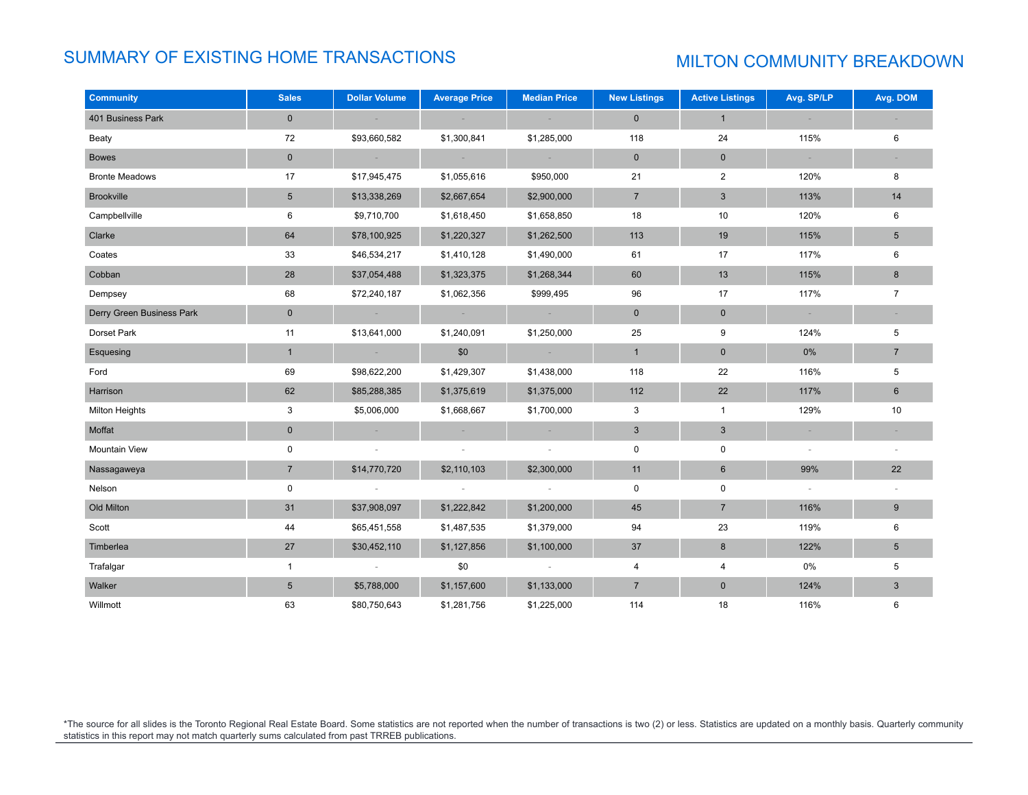# SUMMARY OF EXISTING HOME TRANSACTIONS MILTON COMMUNITY BREAKDOWN

| <b>Community</b>          | <b>Sales</b>    | <b>Dollar Volume</b> | <b>Average Price</b> | <b>Median Price</b> | <b>New Listings</b> | <b>Active Listings</b>    | Avg. SP/LP | Avg. DOM        |
|---------------------------|-----------------|----------------------|----------------------|---------------------|---------------------|---------------------------|------------|-----------------|
| 401 Business Park         | $\mathbf 0$     |                      |                      |                     | $\mathbf 0$         | $\mathbf{1}$              |            |                 |
| Beaty                     | 72              | \$93,660,582         | \$1,300,841          | \$1,285,000         | 118                 | 24                        | 115%       | 6               |
| <b>Bowes</b>              | $\mathbf 0$     | $\sim$               | $\sim$ $ \sim$       | $\sim$ $-$          | $\mathbf 0$         | $\mathbf 0$               | $\sim$     | $\sim$          |
| <b>Bronte Meadows</b>     | 17              | \$17,945,475         | \$1,055,616          | \$950,000           | 21                  | $\overline{2}$            | 120%       | 8               |
| <b>Brookville</b>         | $5\phantom{.0}$ | \$13,338,269         | \$2,667,654          | \$2,900,000         | $\overline{7}$      | $\mathbf{3}$              | 113%       | 14              |
| Campbellville             | 6               | \$9,710,700          | \$1,618,450          | \$1,658,850         | 18                  | 10                        | 120%       | 6               |
| Clarke                    | 64              | \$78,100,925         | \$1,220,327          | \$1,262,500         | 113                 | 19                        | 115%       | $\sqrt{5}$      |
| Coates                    | 33              | \$46,534,217         | \$1,410,128          | \$1,490,000         | 61                  | 17                        | 117%       | 6               |
| Cobban                    | 28              | \$37,054,488         | \$1,323,375          | \$1,268,344         | 60                  | 13                        | 115%       | 8               |
| Dempsey                   | 68              | \$72,240,187         | \$1,062,356          | \$999,495           | 96                  | 17                        | 117%       | $\overline{7}$  |
| Derry Green Business Park | $\mathbf 0$     | $\sim$               | $\sim 100$           | $\sim$ $ \sim$      | $\mathbf 0$         | $\mathbf 0$               | $\sim$     |                 |
| Dorset Park               | 11              | \$13,641,000         | \$1,240,091          | \$1,250,000         | 25                  | 9                         | 124%       | 5               |
| Esquesing                 | $\mathbf{1}$    | $\sim$               | \$0                  | $\sim$              | $\mathbf{1}$        | $\pmb{0}$                 | $0\%$      | $7\overline{ }$ |
| Ford                      | 69              | \$98,622,200         | \$1,429,307          | \$1,438,000         | 118                 | 22                        | 116%       | 5               |
| Harrison                  | 62              | \$85,288,385         | \$1,375,619          | \$1,375,000         | 112                 | 22                        | 117%       | $6\phantom{1}$  |
| Milton Heights            | 3               | \$5,006,000          | \$1,668,667          | \$1,700,000         | 3                   | $\mathbf{1}$              | 129%       | 10              |
| Moffat                    | $\pmb{0}$       |                      |                      |                     | $\mathsf 3$         | $\ensuremath{\mathsf{3}}$ |            |                 |
| Mountain View             | $\pmb{0}$       | $\sim$               | $\sim$               | $\sim$              | $\mathsf 0$         | 0                         | $\sim$     |                 |
| Nassagaweya               | $7\overline{ }$ | \$14,770,720         | \$2,110,103          | \$2,300,000         | 11                  | $\,6\,$                   | 99%        | 22              |
| Nelson                    | 0               |                      |                      |                     | $\mathbf 0$         | 0                         | $\sim$     |                 |
| Old Milton                | 31              | \$37,908,097         | \$1,222,842          | \$1,200,000         | 45                  | $\overline{7}$            | 116%       | $9\,$           |
| Scott                     | 44              | \$65,451,558         | \$1,487,535          | \$1,379,000         | 94                  | 23                        | 119%       | 6               |
| Timberlea                 | 27              | \$30,452,110         | \$1,127,856          | \$1,100,000         | 37                  | 8                         | 122%       | $5\phantom{.0}$ |
| Trafalgar                 | $\mathbf{1}$    |                      | \$0                  |                     | $\overline{4}$      | 4                         | 0%         | 5               |
| Walker                    | $5\phantom{.0}$ | \$5,788,000          | \$1,157,600          | \$1,133,000         | $\overline{7}$      | $\mathbf 0$               | 124%       | 3               |
| Willmott                  | 63              | \$80,750,643         | \$1,281,756          | \$1,225,000         | 114                 | 18                        | 116%       | 6               |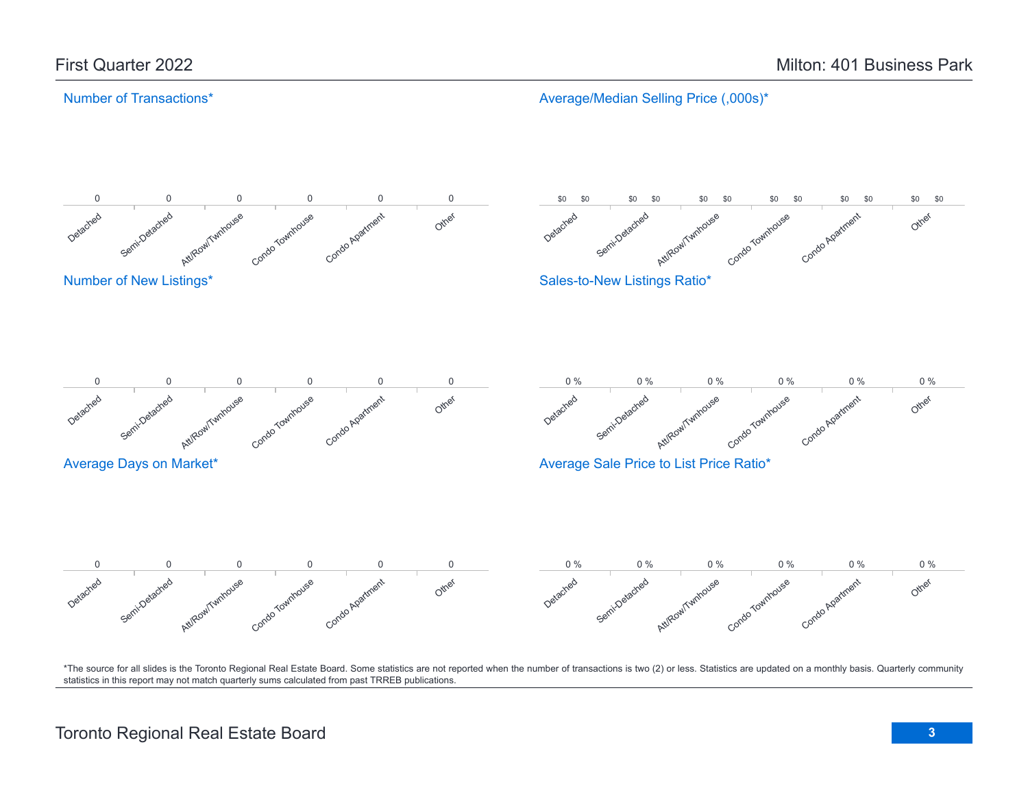Average/Median Selling Price (,000s)\*

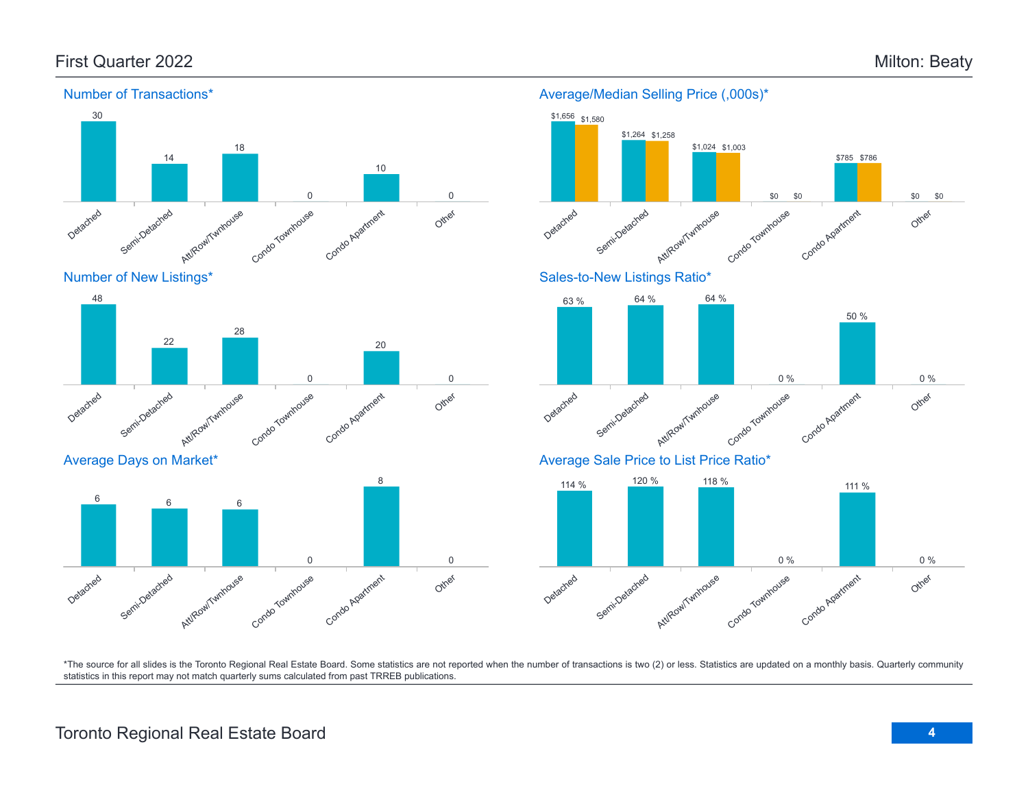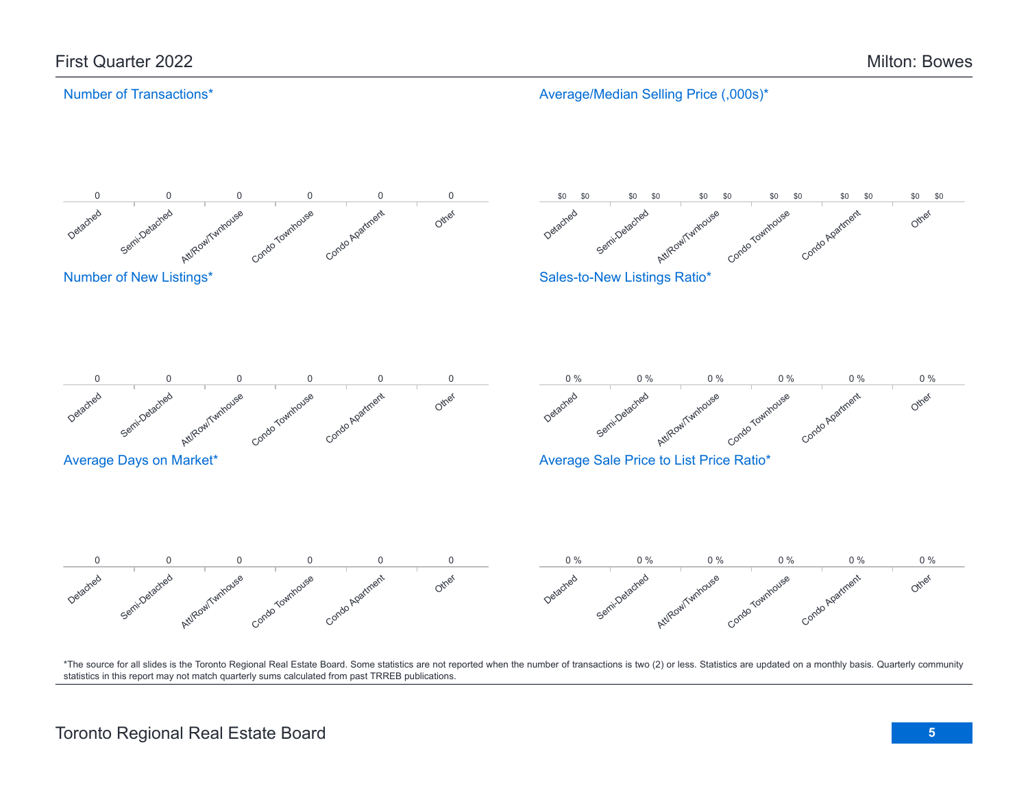Average/Median Selling Price (,000s)\*

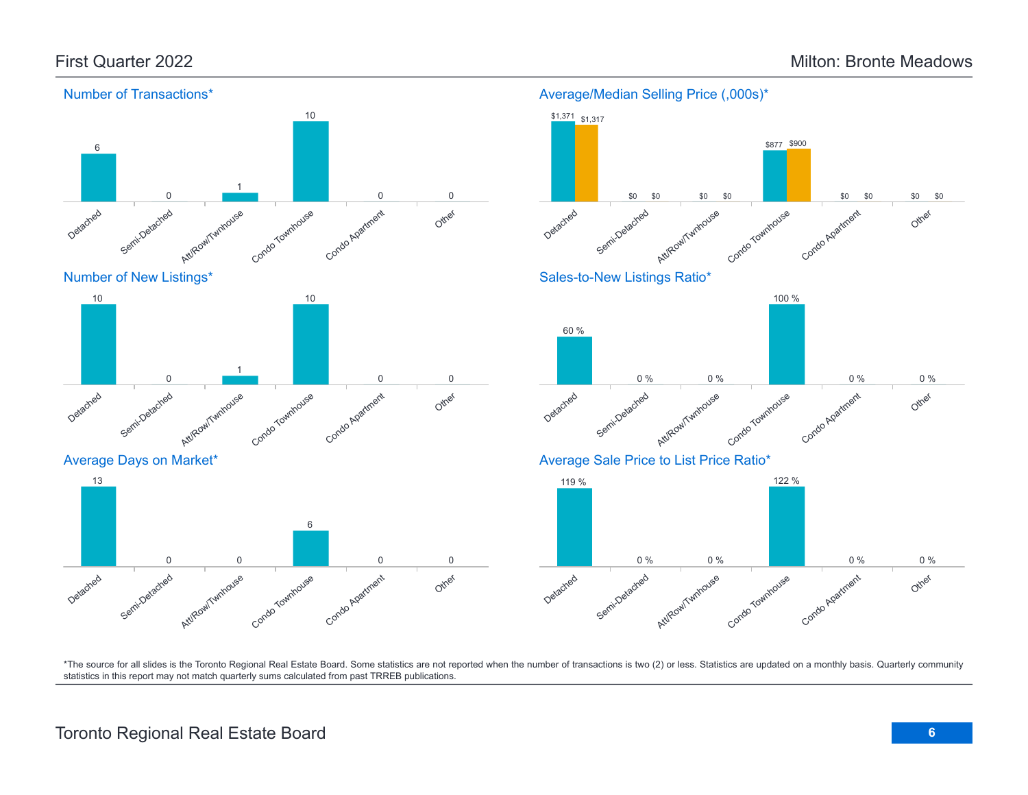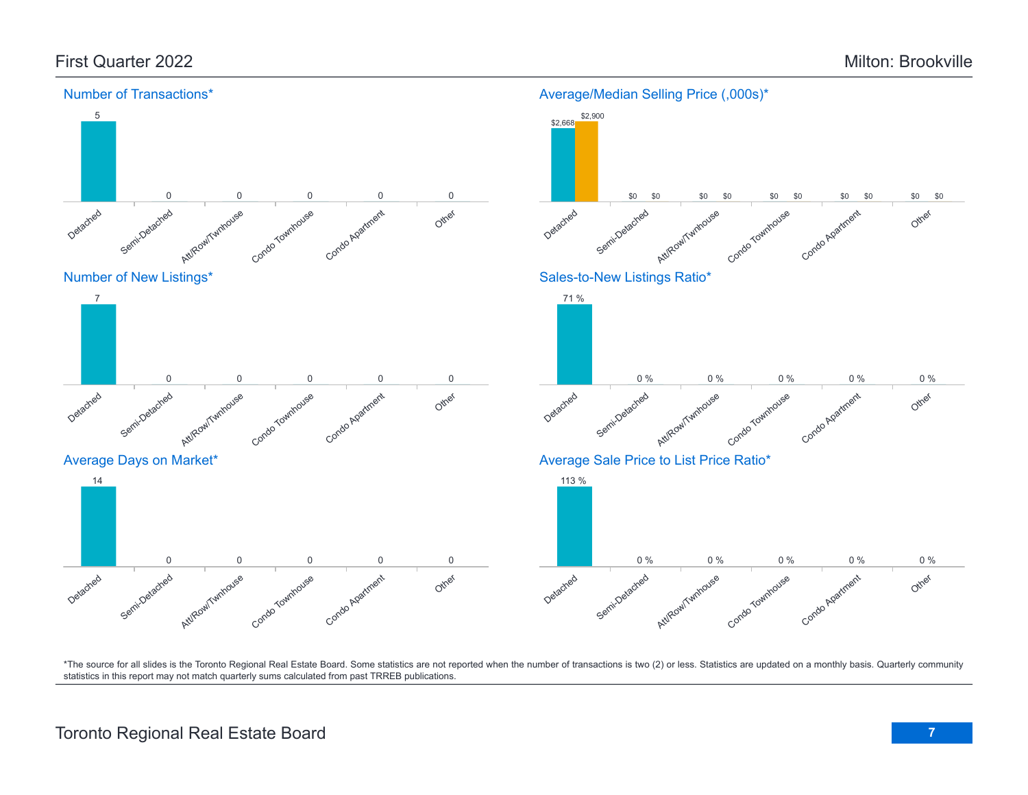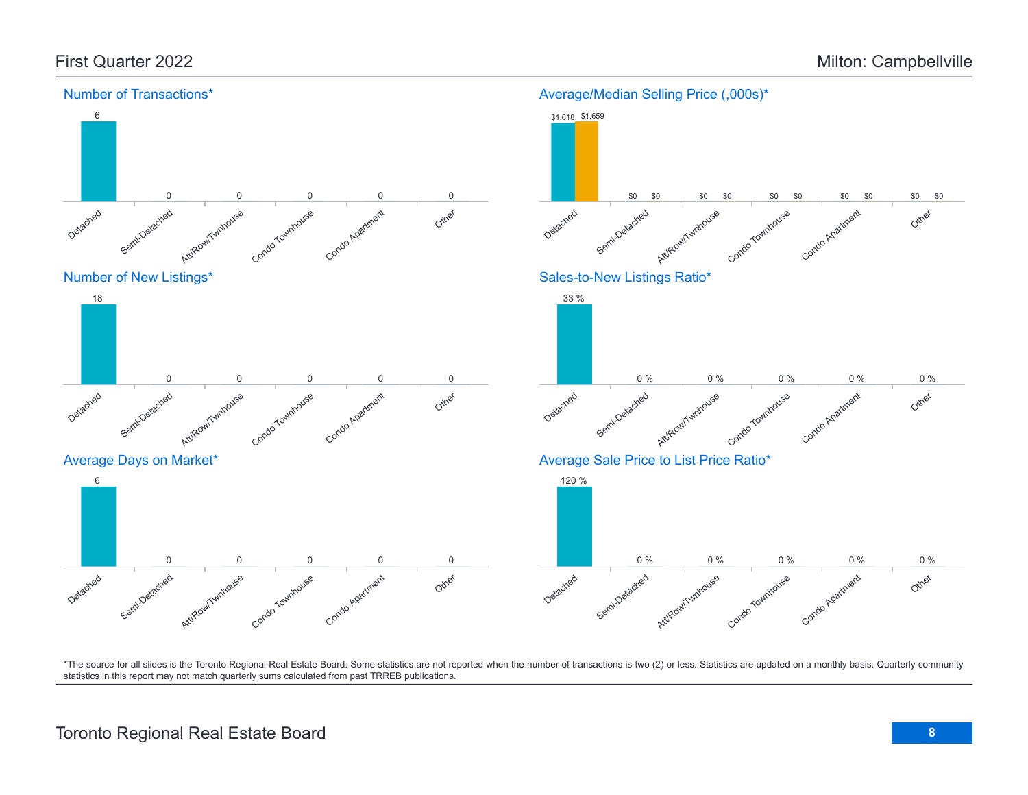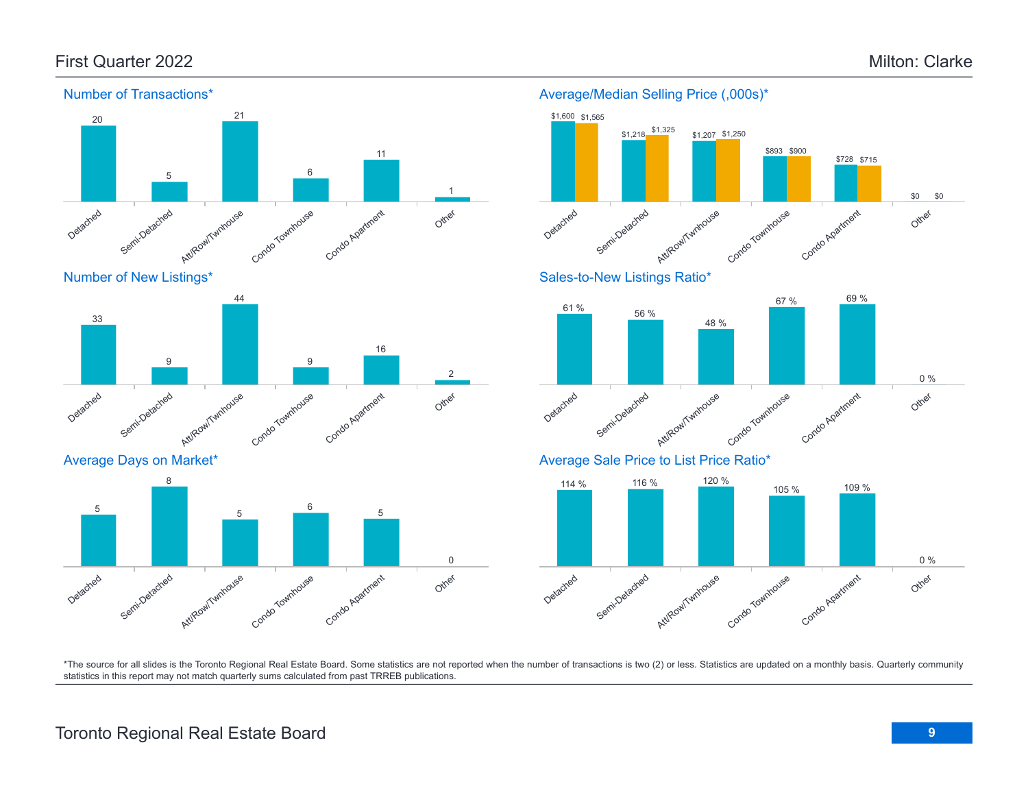\$0

0 %

0 %

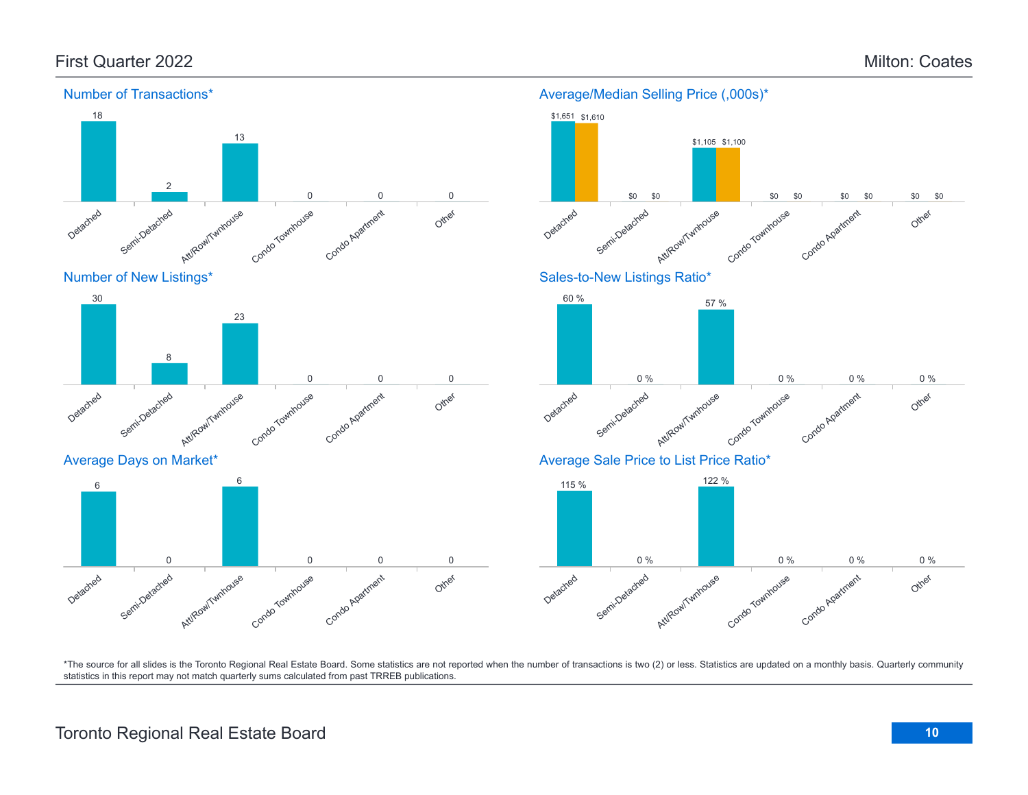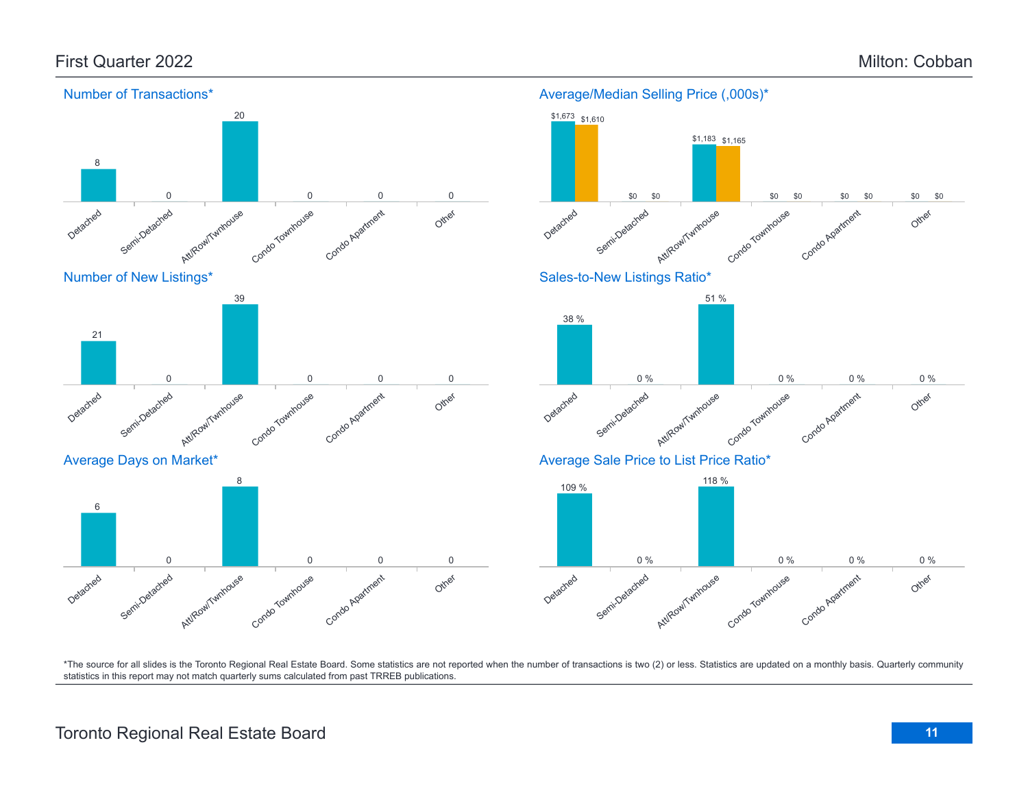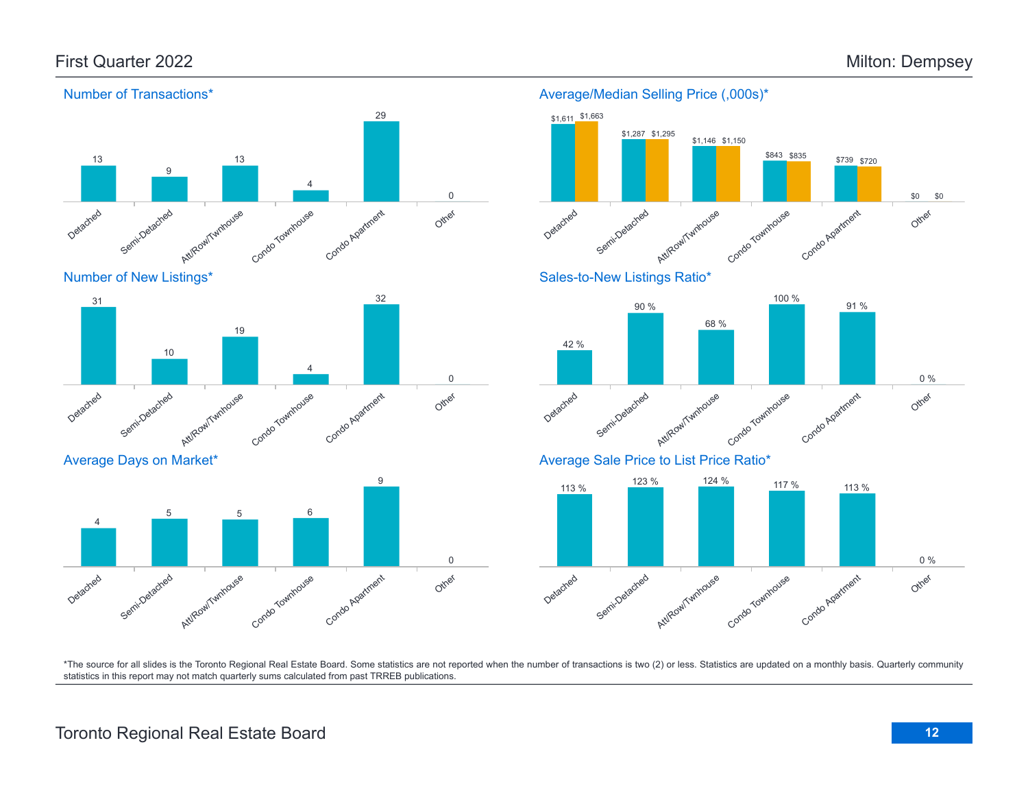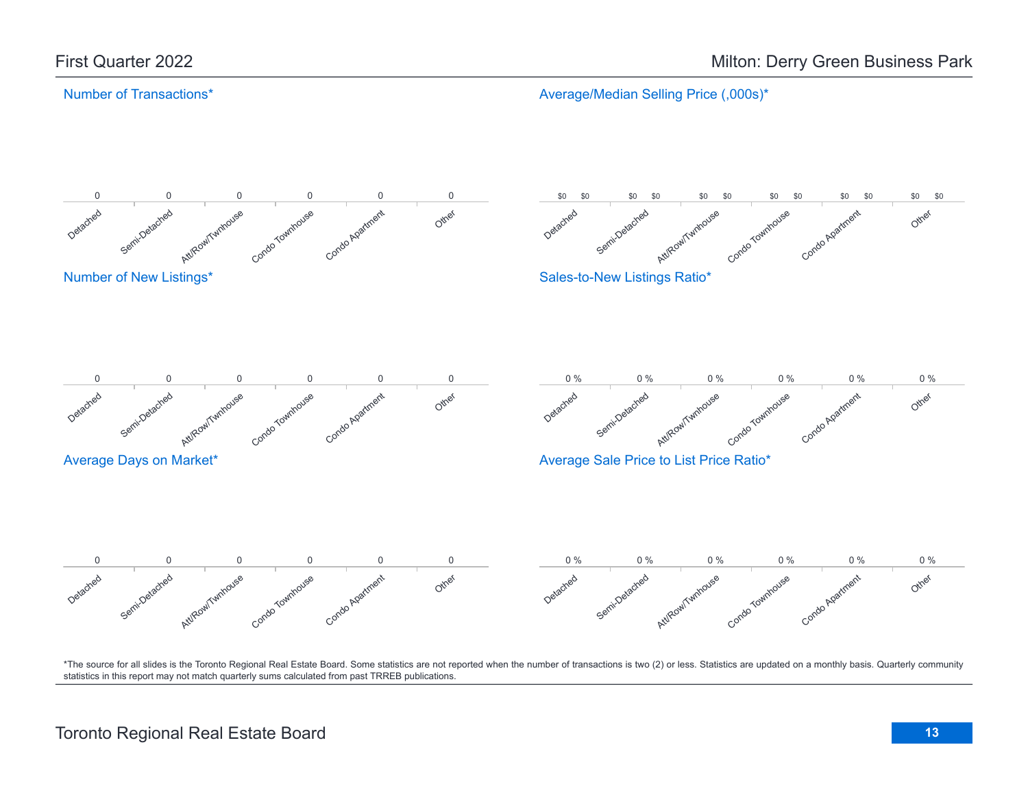Average/Median Selling Price (,000s)\*

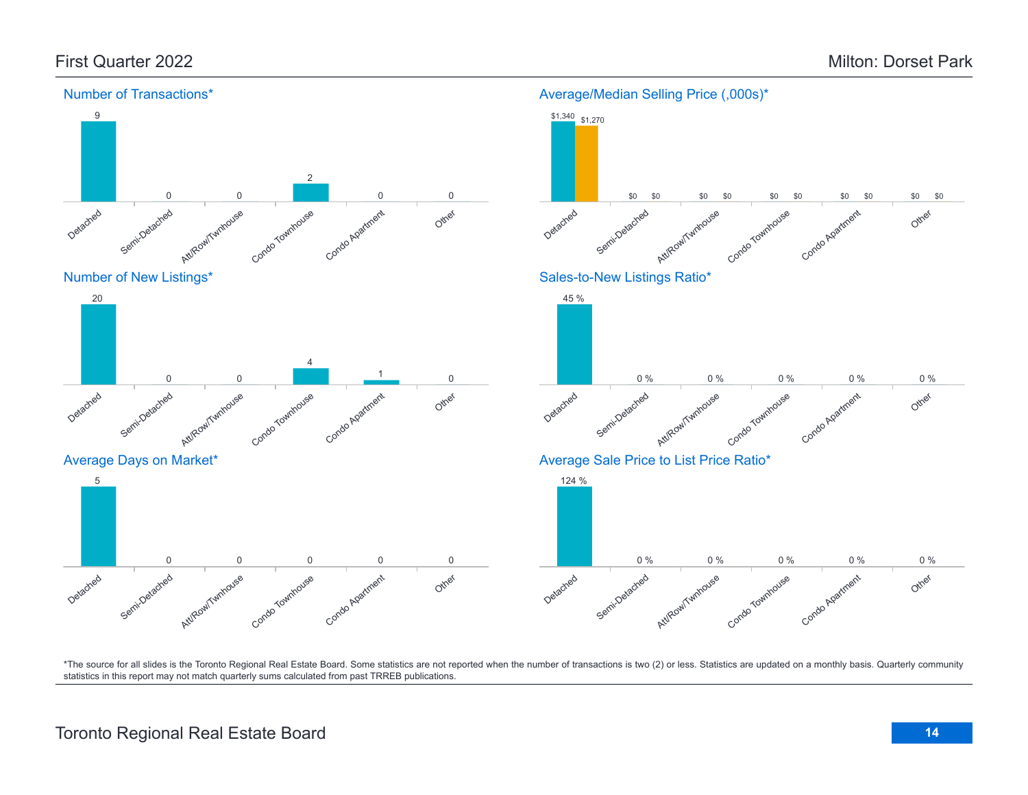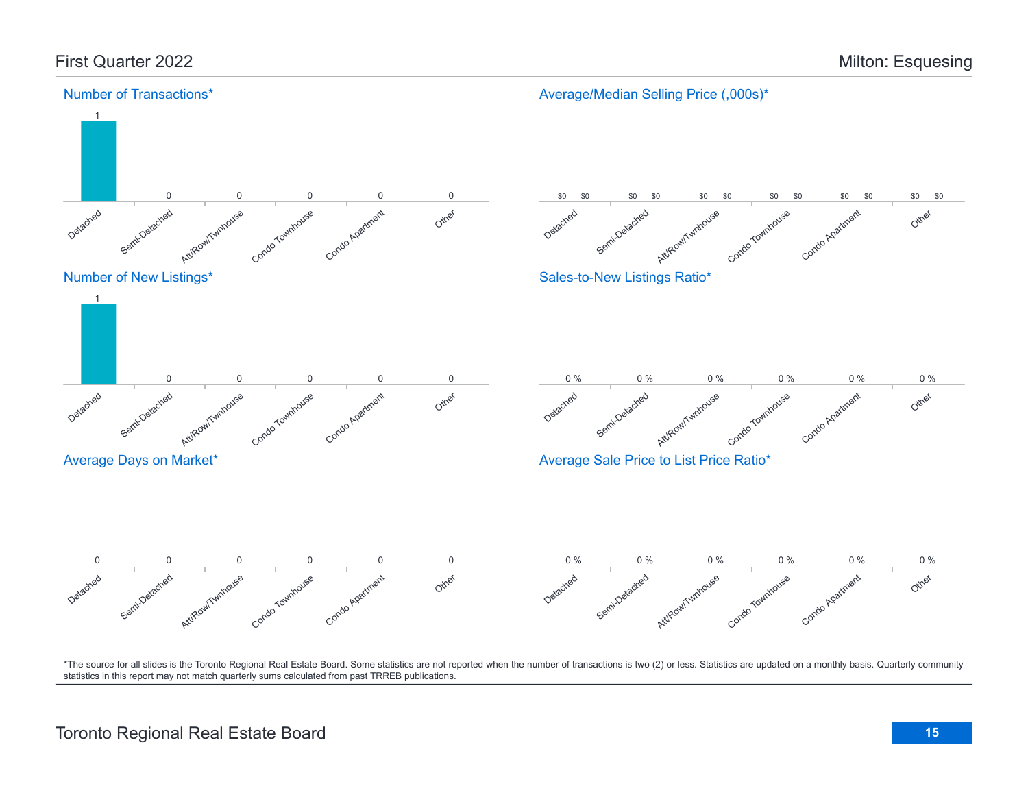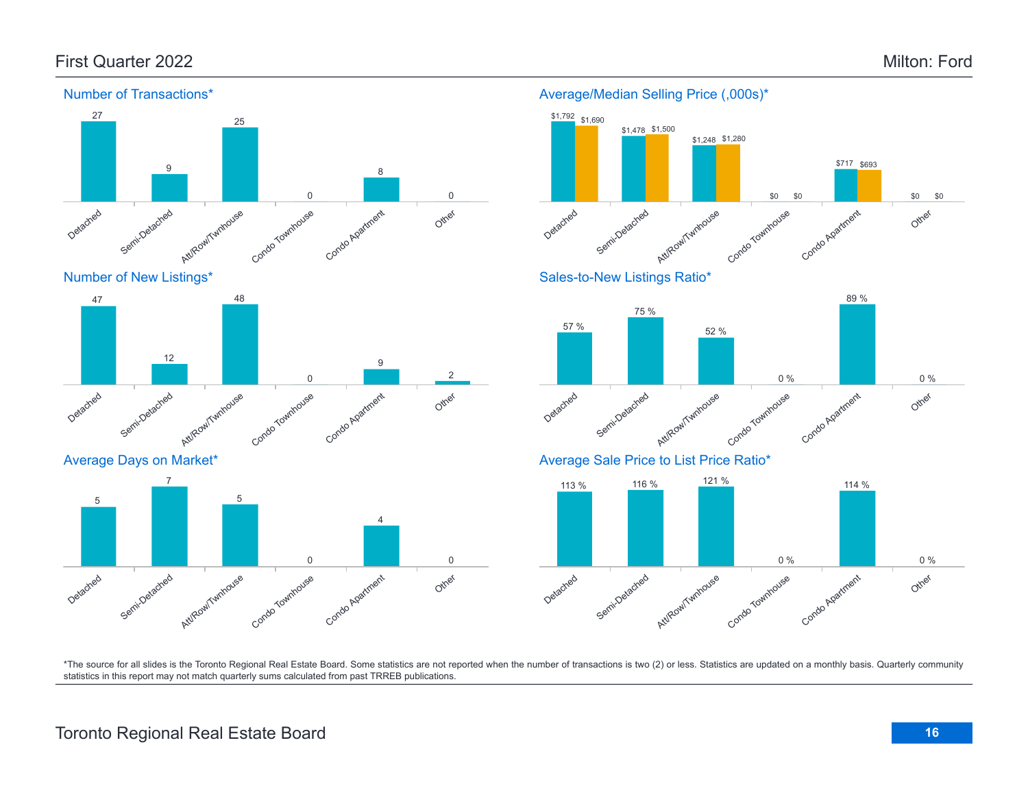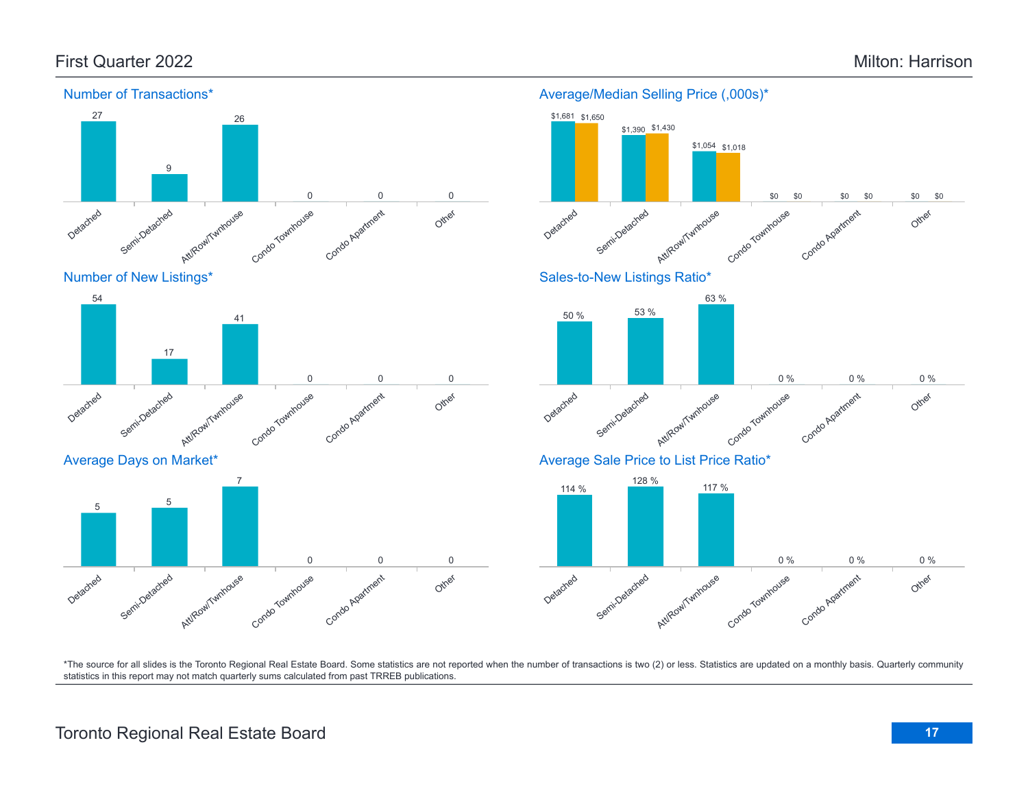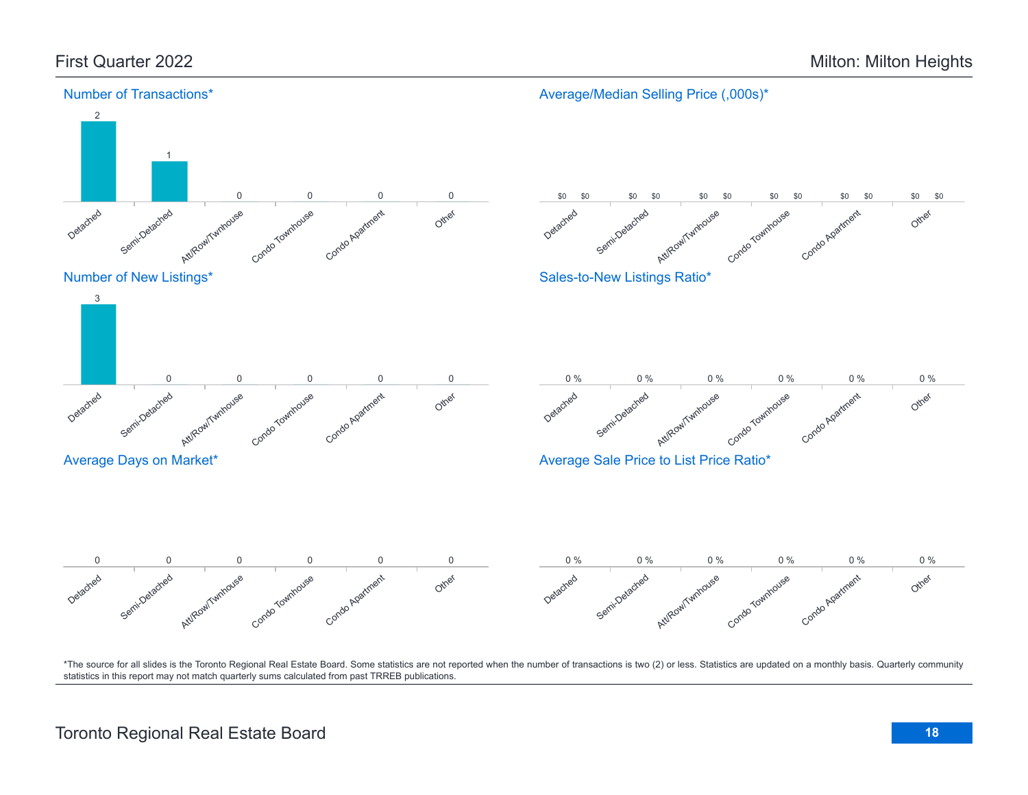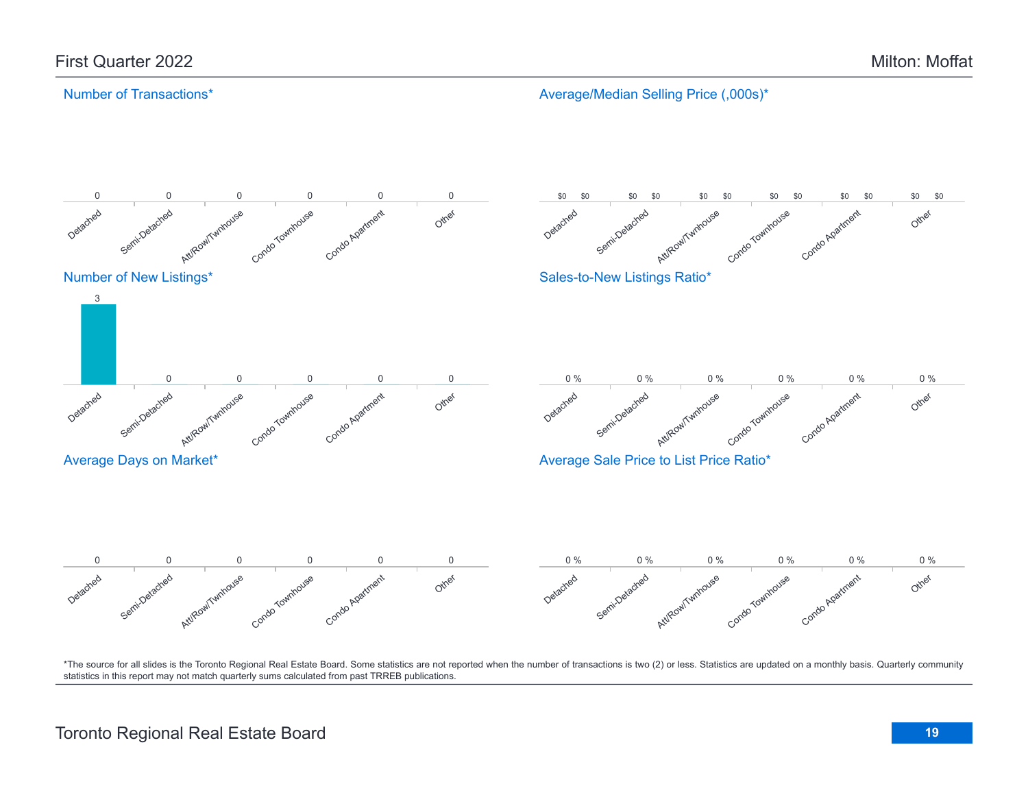Average/Median Selling Price (,000s)\*

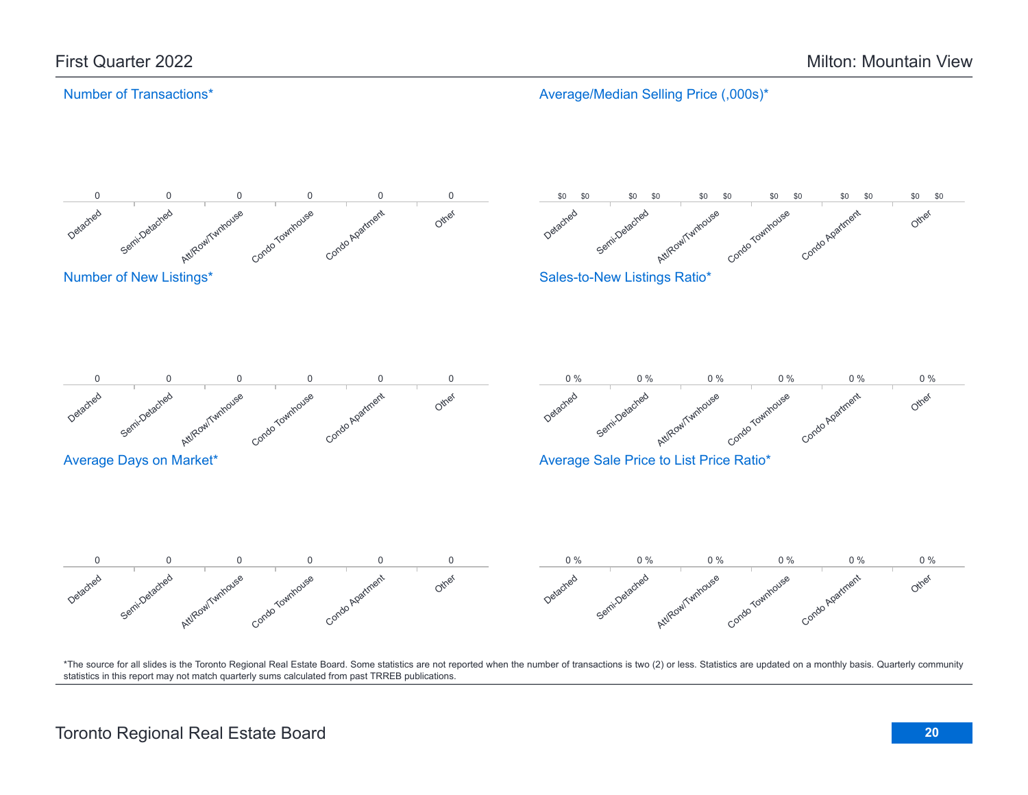Average/Median Selling Price (,000s)\*

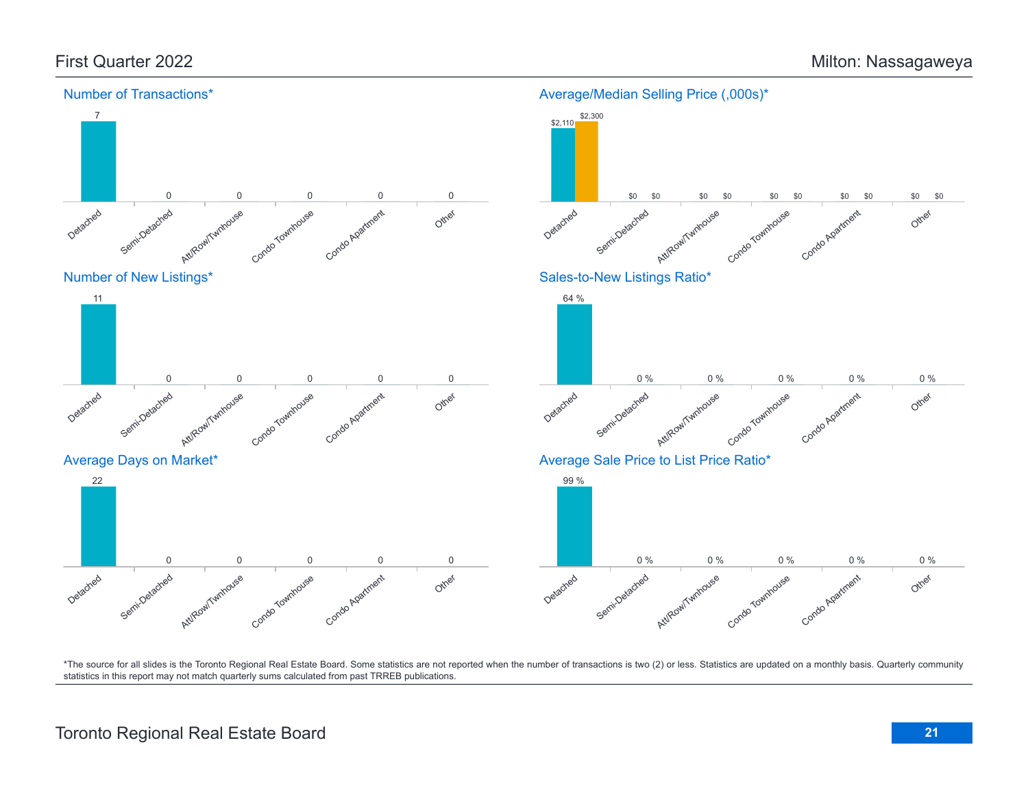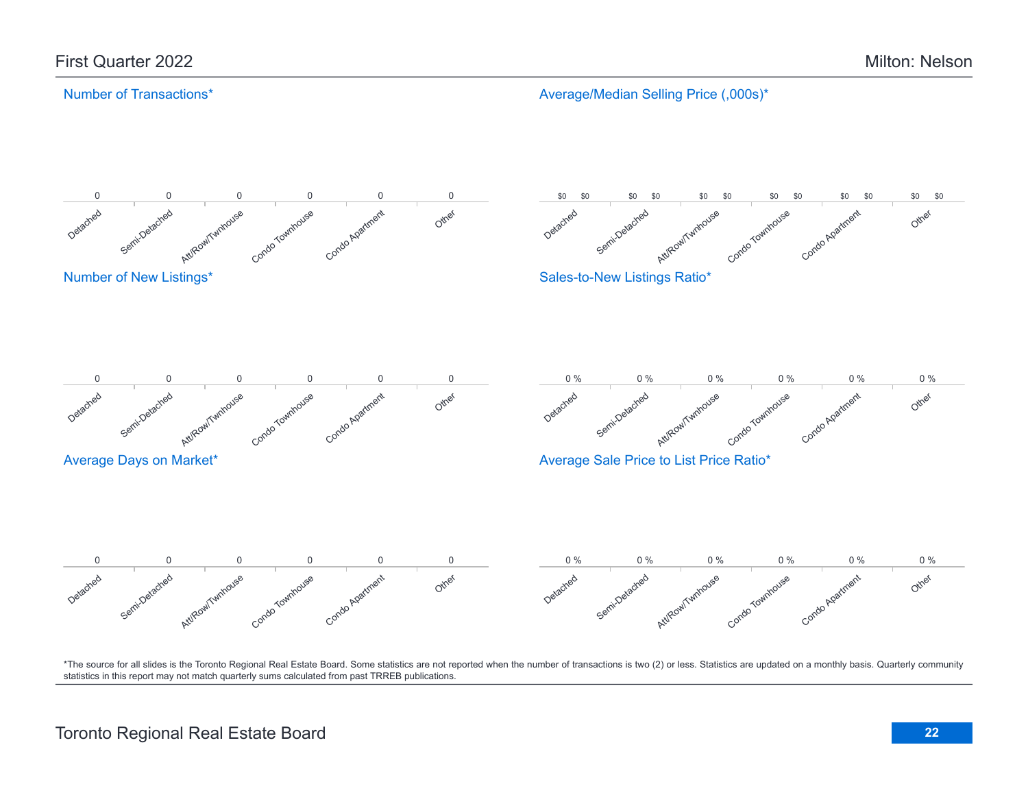Average/Median Selling Price (,000s)\*

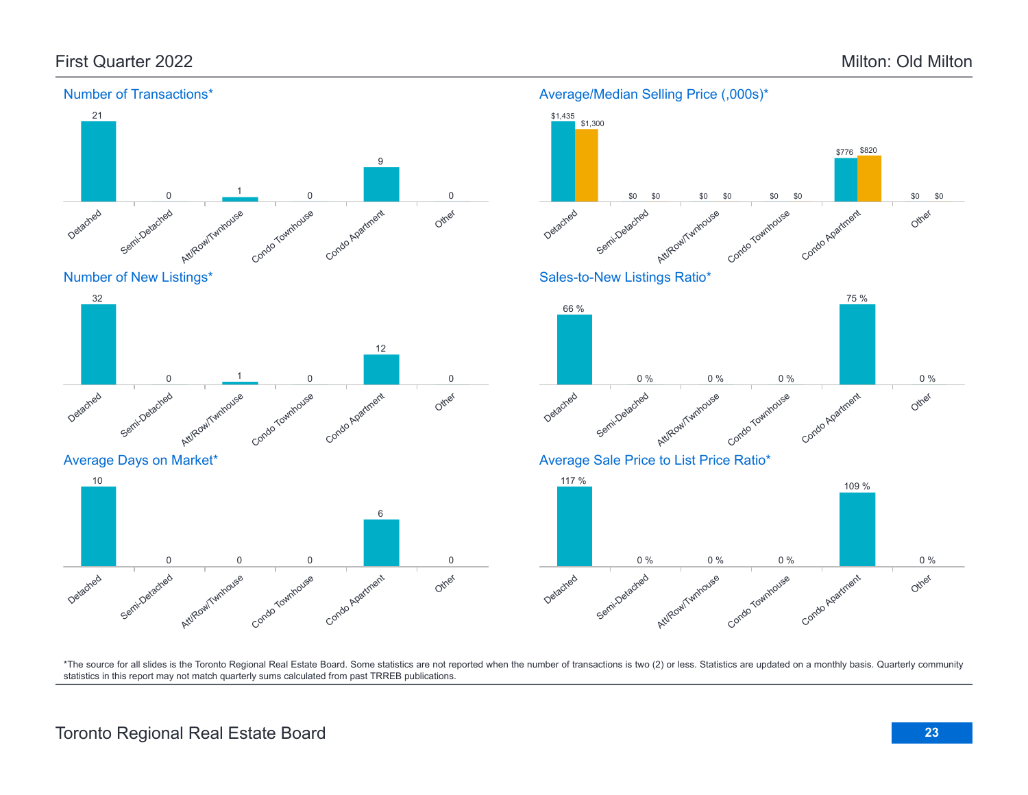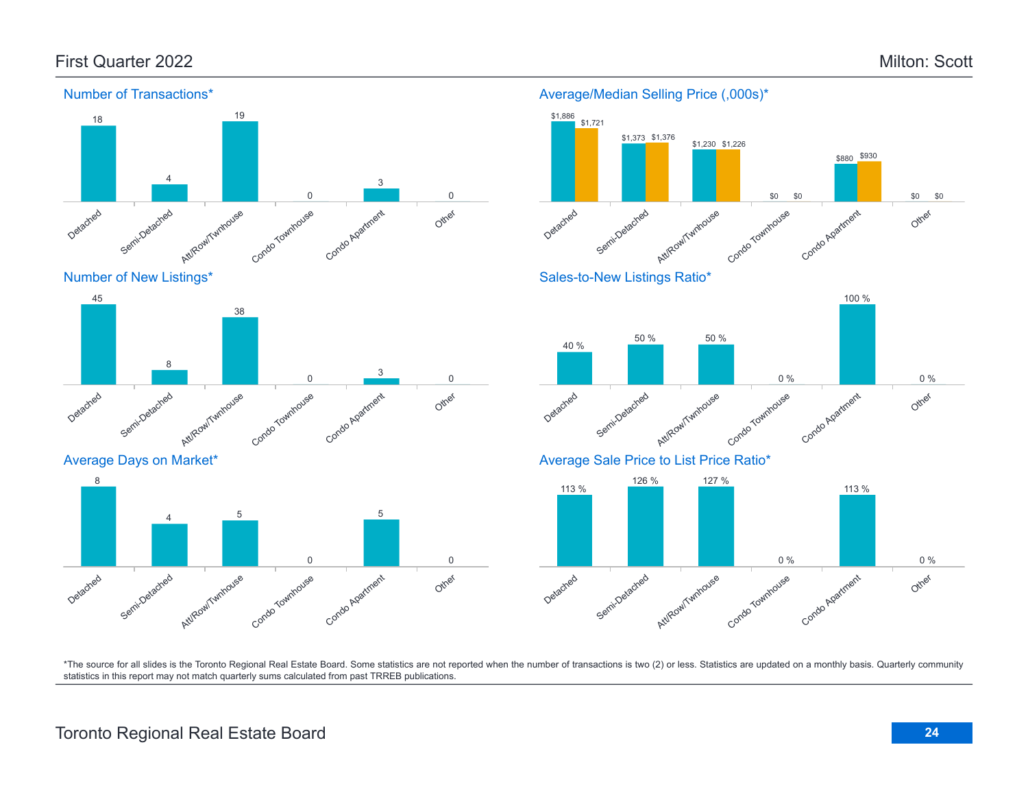Other

Other

Other

0 %

0 %

\$0

\$0



\*The source for all slides is the Toronto Regional Real Estate Board. Some statistics are not reported when the number of transactions is two (2) or less. Statistics are updated on a monthly basis. Quarterly community statistics in this report may not match quarterly sums calculated from past TRREB publications.

# Toronto Regional Real Estate Board **24**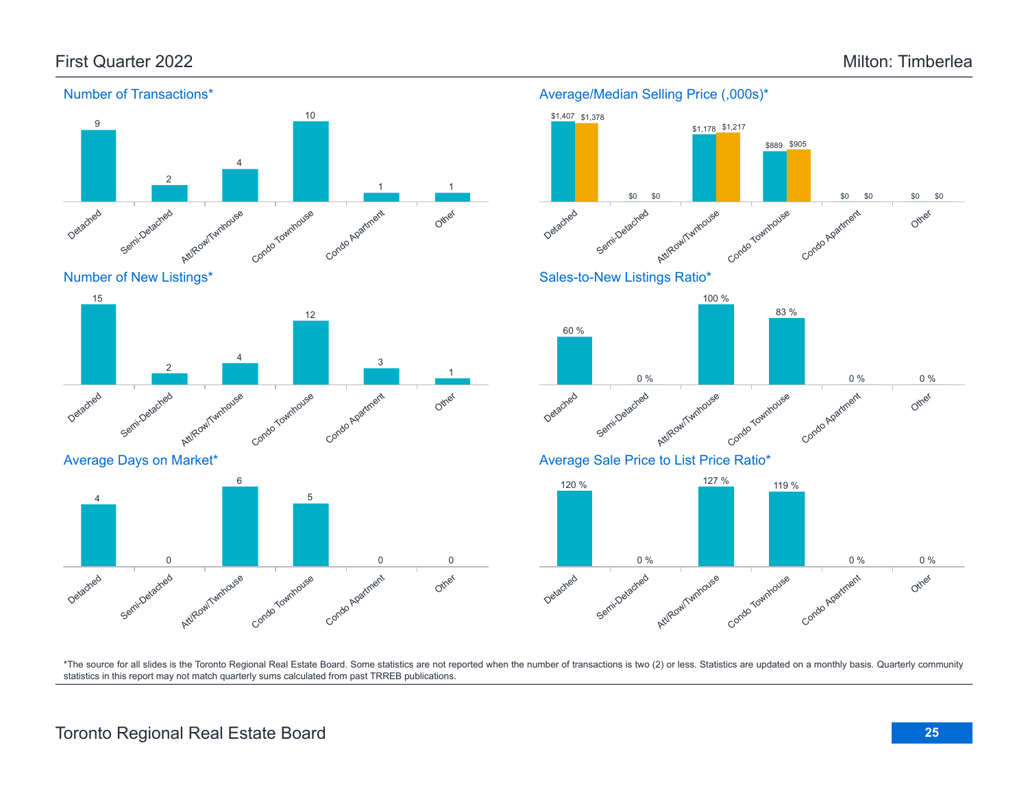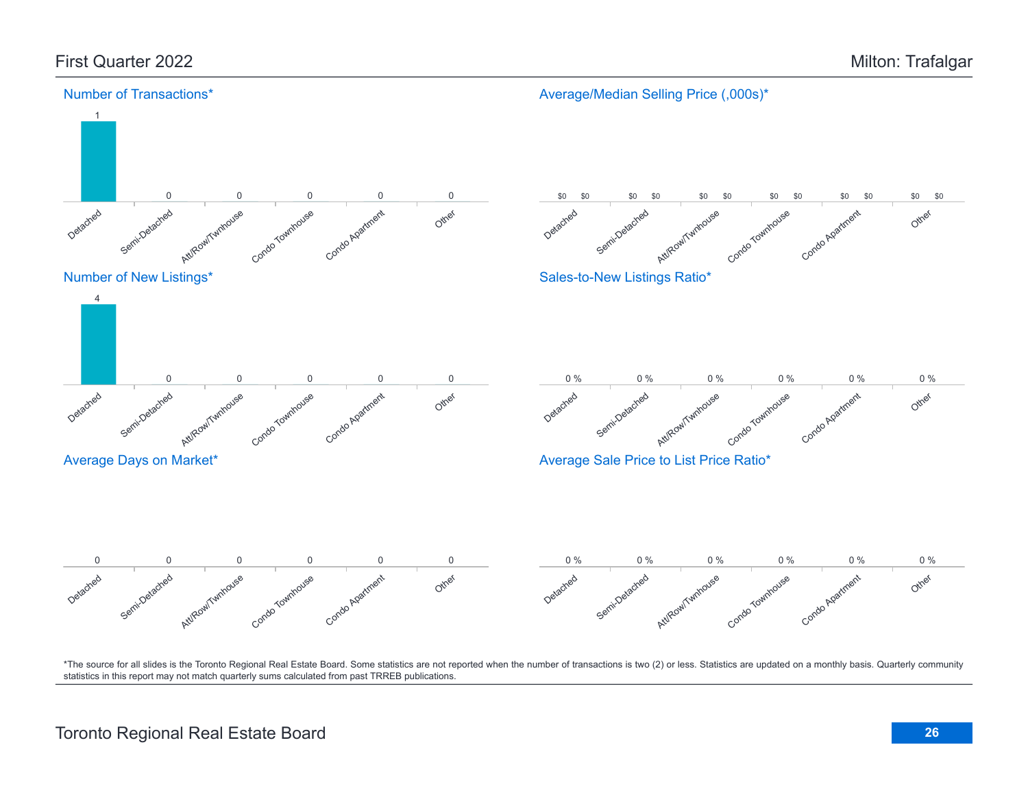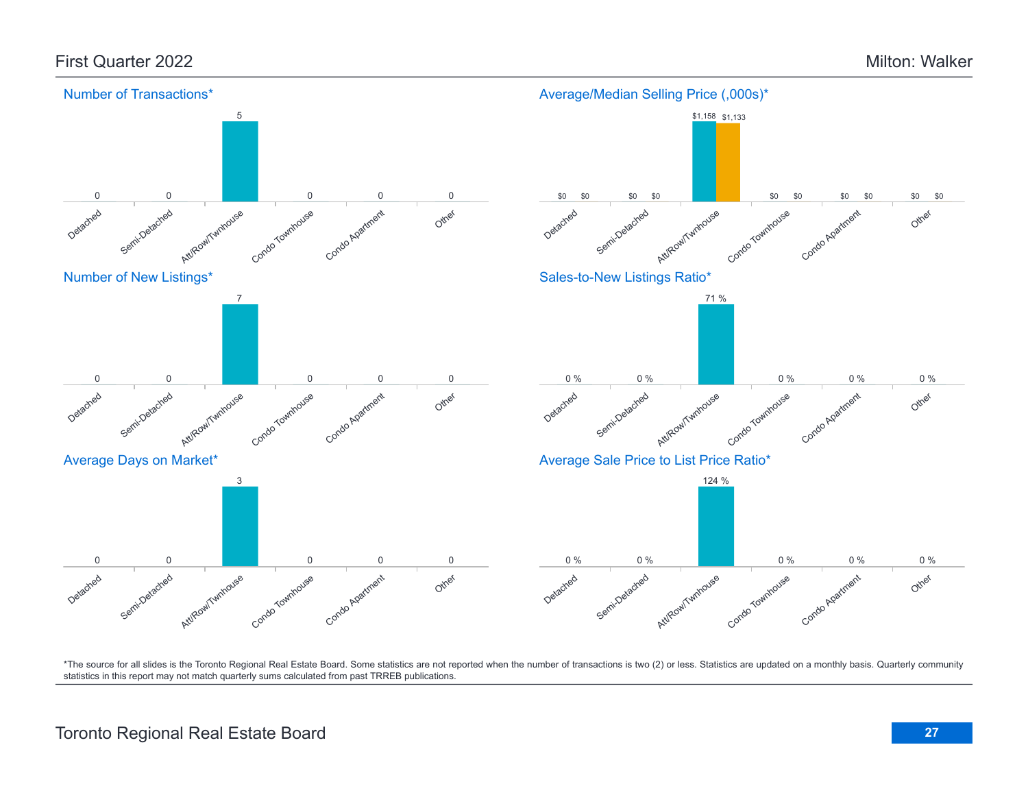## First Quarter 2022 Milton: Walker